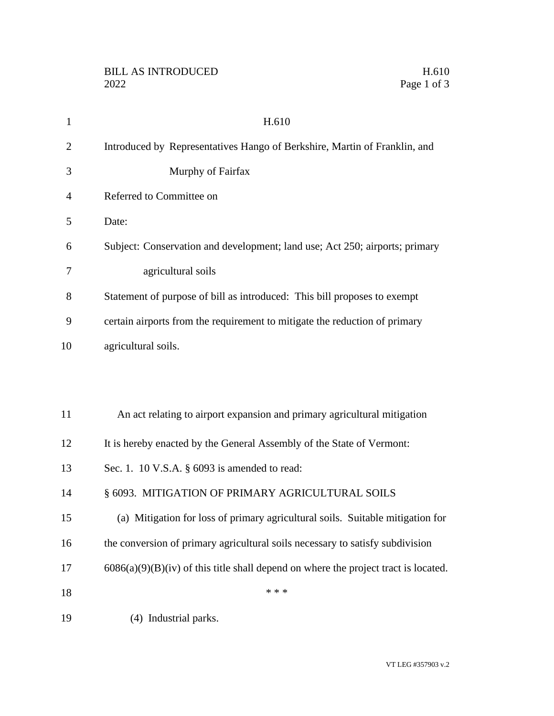| $\mathbf{1}$   | H.610                                                                                 |
|----------------|---------------------------------------------------------------------------------------|
| $\overline{2}$ | Introduced by Representatives Hango of Berkshire, Martin of Franklin, and             |
| 3              | Murphy of Fairfax                                                                     |
| $\overline{4}$ | Referred to Committee on                                                              |
| 5              | Date:                                                                                 |
| 6              | Subject: Conservation and development; land use; Act 250; airports; primary           |
| 7              | agricultural soils                                                                    |
| 8              | Statement of purpose of bill as introduced: This bill proposes to exempt              |
| 9              | certain airports from the requirement to mitigate the reduction of primary            |
| 10             | agricultural soils.                                                                   |
|                |                                                                                       |
|                |                                                                                       |
| 11             | An act relating to airport expansion and primary agricultural mitigation              |
| 12             | It is hereby enacted by the General Assembly of the State of Vermont:                 |
| 13             | Sec. 1. 10 V.S.A. $\S$ 6093 is amended to read:                                       |
| 14             | § 6093. MITIGATION OF PRIMARY AGRICULTURAL SOILS                                      |
| 15             | (a) Mitigation for loss of primary agricultural soils. Suitable mitigation for        |
| 16             | the conversion of primary agricultural soils necessary to satisfy subdivision         |
| 17             | $6086(a)(9)(B)(iv)$ of this title shall depend on where the project tract is located. |
| 18             | * * *                                                                                 |
| 19             | (4) Industrial parks.                                                                 |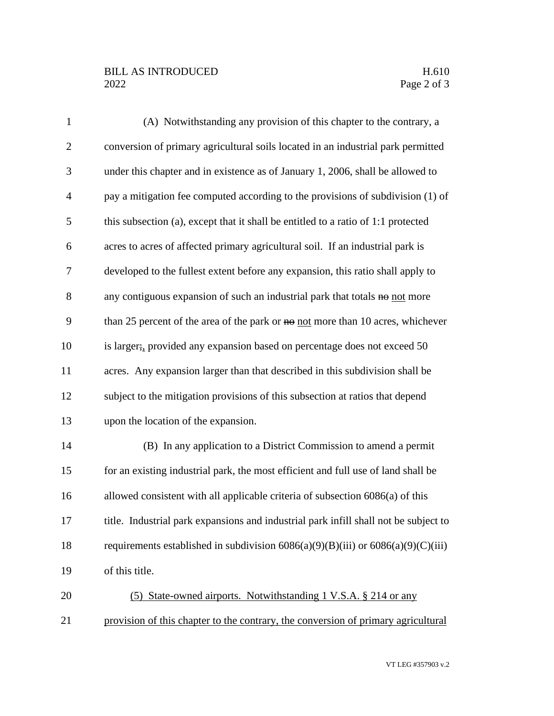## BILL AS INTRODUCED H.610<br>2022 Page 2 of 3

| $\mathbf{1}$   | (A) Notwithstanding any provision of this chapter to the contrary, a                  |
|----------------|---------------------------------------------------------------------------------------|
| $\overline{2}$ | conversion of primary agricultural soils located in an industrial park permitted      |
| 3              | under this chapter and in existence as of January 1, 2006, shall be allowed to        |
| $\overline{4}$ | pay a mitigation fee computed according to the provisions of subdivision (1) of       |
| 5              | this subsection (a), except that it shall be entitled to a ratio of 1:1 protected     |
| 6              | acres to acres of affected primary agricultural soil. If an industrial park is        |
| 7              | developed to the fullest extent before any expansion, this ratio shall apply to       |
| 8              | any contiguous expansion of such an industrial park that totals no not more           |
| 9              | than 25 percent of the area of the park or $\theta$ not more than 10 acres, whichever |
| 10             | is larger; provided any expansion based on percentage does not exceed 50              |
| 11             | acres. Any expansion larger than that described in this subdivision shall be          |
| 12             | subject to the mitigation provisions of this subsection at ratios that depend         |
| 13             | upon the location of the expansion.                                                   |
| 14             | (B) In any application to a District Commission to amend a permit                     |
| 15             | for an existing industrial park, the most efficient and full use of land shall be     |
| 16             | allowed consistent with all applicable criteria of subsection 6086(a) of this         |
| 17             | title. Industrial park expansions and industrial park infill shall not be subject to  |
| 18             | requirements established in subdivision $6086(a)(9)(B)(iii)$ or $6086(a)(9)(C)(iii)$  |
| 19             | of this title.                                                                        |
| 20             | (5) State-owned airports. Notwithstanding 1 V.S.A. § 214 or any                       |
| 21             | provision of this chapter to the contrary, the conversion of primary agricultural     |

VT LEG #357903 v.2